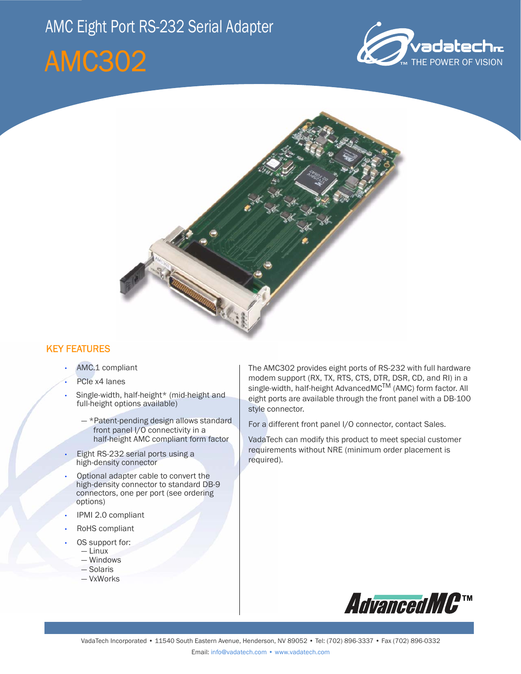## AMC Eight Port RS-232 Serial Adapter

# AMC302





#### KEY FEATURES

- AMC.1 compliant
- PCIe x4 lanes
- Single-width, half-height\* (mid-height and full-height options available)
	- \*Patent-pending design allows standard front panel I/O connectivity in a half-height AMC compliant form factor
- Eight RS-232 serial ports using a high-density connector
- Optional adapter cable to convert the high-density connector to standard DB-9 connectors, one per port (see ordering options)
- IPMI 2.0 compliant
- RoHS compliant
- OS support for:
	- Linux
	- Windows
	- Solaris — VxWorks

The AMC302 provides eight ports of RS-232 with full hardware modem support (RX, TX, RTS, CTS, DTR, DSR, CD, and RI) in a single-width, half-height AdvancedMC<sup>TM</sup> (AMC) form factor. All eight ports are available through the front panel with a DB-100 style connector.

For a different front panel I/O connector, contact Sales.

VadaTech can modify this product to meet special customer requirements without NRE (minimum order placement is required).

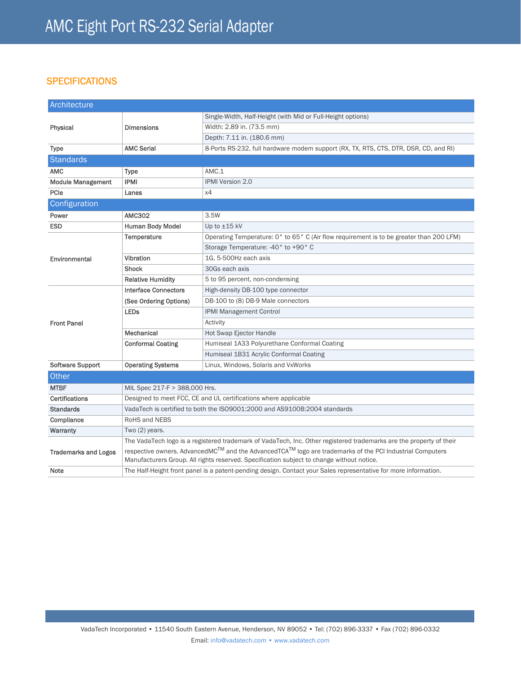### **SPECIFICATIONS**

| Architecture                |                                                                                                                                                                                                                    |                                                                                         |
|-----------------------------|--------------------------------------------------------------------------------------------------------------------------------------------------------------------------------------------------------------------|-----------------------------------------------------------------------------------------|
| Physical                    | <b>Dimensions</b>                                                                                                                                                                                                  | Single-Width, Half-Height (with Mid or Full-Height options)                             |
|                             |                                                                                                                                                                                                                    | Width: 2.89 in. (73.5 mm)                                                               |
|                             |                                                                                                                                                                                                                    | Depth: 7.11 in. (180.6 mm)                                                              |
| <b>Type</b>                 | <b>AMC Serial</b>                                                                                                                                                                                                  | 8-Ports RS-232, full hardware modem support (RX, TX, RTS, CTS, DTR, DSR, CD, and RI)    |
| <b>Standards</b>            |                                                                                                                                                                                                                    |                                                                                         |
| <b>AMC</b>                  | <b>Type</b>                                                                                                                                                                                                        | AMC.1                                                                                   |
| <b>Module Management</b>    | <b>IPMI</b>                                                                                                                                                                                                        | <b>IPMI Version 2.0</b>                                                                 |
| PCIe                        | Lanes                                                                                                                                                                                                              | x4                                                                                      |
| Configuration               |                                                                                                                                                                                                                    |                                                                                         |
| Power                       | <b>AMC302</b>                                                                                                                                                                                                      | 3.5W                                                                                    |
| <b>ESD</b>                  | <b>Human Body Model</b>                                                                                                                                                                                            | Up to ±15 kV                                                                            |
| Environmental               | Temperature                                                                                                                                                                                                        | Operating Temperature: 0° to 65° C (Air flow requirement is to be greater than 200 LFM) |
|                             |                                                                                                                                                                                                                    | Storage Temperature: -40° to +90° C                                                     |
|                             | Vibration                                                                                                                                                                                                          | 1G. 5-500Hz each axis                                                                   |
|                             | <b>Shock</b>                                                                                                                                                                                                       | 30Gs each axis                                                                          |
|                             | <b>Relative Humidity</b>                                                                                                                                                                                           | 5 to 95 percent, non-condensing                                                         |
| <b>Front Panel</b>          | <b>Interface Connectors</b>                                                                                                                                                                                        | High-density DB-100 type connector                                                      |
|                             | (See Ordering Options)                                                                                                                                                                                             | DB-100 to (8) DB-9 Male connectors                                                      |
|                             | <b>LEDs</b>                                                                                                                                                                                                        | IPMI Management Control                                                                 |
|                             |                                                                                                                                                                                                                    | Activity                                                                                |
|                             | Mechanical                                                                                                                                                                                                         | <b>Hot Swap Ejector Handle</b>                                                          |
|                             | <b>Conformal Coating</b>                                                                                                                                                                                           | Humiseal 1A33 Polyurethane Conformal Coating                                            |
|                             |                                                                                                                                                                                                                    | Humiseal 1B31 Acrylic Conformal Coating                                                 |
| <b>Software Support</b>     | <b>Operating Systems</b>                                                                                                                                                                                           | Linux, Windows, Solaris and VxWorks                                                     |
| Other                       |                                                                                                                                                                                                                    |                                                                                         |
| <b>MTBF</b>                 | MIL Spec 217-F > 388,000 Hrs.                                                                                                                                                                                      |                                                                                         |
| <b>Certifications</b>       | Designed to meet FCC, CE and UL certifications where applicable                                                                                                                                                    |                                                                                         |
| <b>Standards</b>            | VadaTech is certified to both the ISO9001:2000 and AS9100B:2004 standards                                                                                                                                          |                                                                                         |
| Compliance                  | RoHS and NEBS                                                                                                                                                                                                      |                                                                                         |
| Warranty                    | Two (2) years.                                                                                                                                                                                                     |                                                                                         |
| <b>Trademarks and Logos</b> | The VadaTech logo is a registered trademark of VadaTech, Inc. Other registered trademarks are the property of their                                                                                                |                                                                                         |
|                             | respective owners. Advanced $MC^{TM}$ and the AdvancedTCA $^{TM}$ logo are trademarks of the PCI Industrial Computers<br>Manufacturers Group. All rights reserved. Specification subject to change without notice. |                                                                                         |
| Note                        | The Half-Height front panel is a patent-pending design. Contact your Sales representative for more information.                                                                                                    |                                                                                         |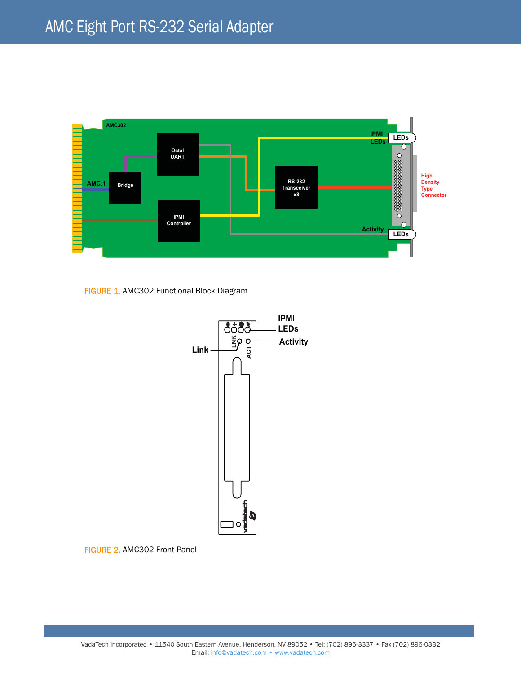

FIGURE 1. AMC302 Functional Block Diagram



FIGURE 2. AMC302 Front Panel